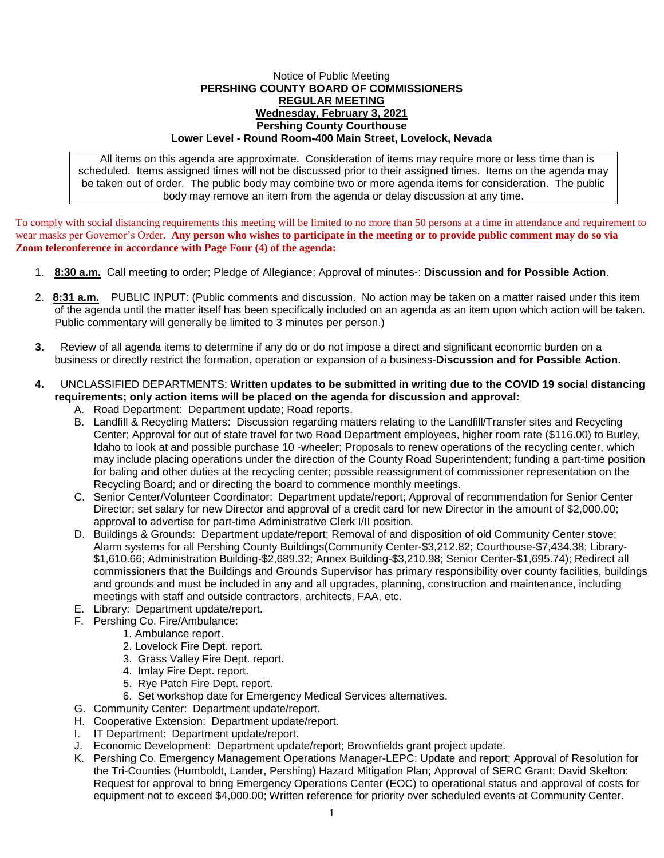## Notice of Public Meeting **PERSHING COUNTY BOARD OF COMMISSIONERS REGULAR MEETING Wednesday, February 3, 2021 Pershing County Courthouse Lower Level - Round Room-400 Main Street, Lovelock, Nevada**

All items on this agenda are approximate. Consideration of items may require more or less time than is scheduled. Items assigned times will not be discussed prior to their assigned times. Items on the agenda may be taken out of order. The public body may combine two or more agenda items for consideration. The public body may remove an item from the agenda or delay discussion at any time.

To comply with social distancing requirements this meeting will be limited to no more than 50 persons at a time in attendance and requirement to wear masks per Governor's Order. **Any person who wishes to participate in the meeting or to provide public comment may do so via Zoom teleconference in accordance with Page Four (4) of the agenda:** 

- 1. **8:30 a.m.** Call meeting to order; Pledge of Allegiance; Approval of minutes-: **Discussion and for Possible Action**.
- 2. **8:31 a.m.** PUBLIC INPUT: (Public comments and discussion. No action may be taken on a matter raised under this item of the agenda until the matter itself has been specifically included on an agenda as an item upon which action will be taken. Public commentary will generally be limited to 3 minutes per person.)
- **3.** Review of all agenda items to determine if any do or do not impose a direct and significant economic burden on a business or directly restrict the formation, operation or expansion of a business-**Discussion and for Possible Action.**

## **4.** UNCLASSIFIED DEPARTMENTS: **Written updates to be submitted in writing due to the COVID 19 social distancing requirements; only action items will be placed on the agenda for discussion and approval:**

- A. Road Department: Department update; Road reports.
- B. Landfill & Recycling Matters: Discussion regarding matters relating to the Landfill/Transfer sites and Recycling Center; Approval for out of state travel for two Road Department employees, higher room rate (\$116.00) to Burley, Idaho to look at and possible purchase 10 -wheeler; Proposals to renew operations of the recycling center, which may include placing operations under the direction of the County Road Superintendent; funding a part-time position for baling and other duties at the recycling center; possible reassignment of commissioner representation on the Recycling Board; and or directing the board to commence monthly meetings.
- C. Senior Center/Volunteer Coordinator: Department update/report; Approval of recommendation for Senior Center Director; set salary for new Director and approval of a credit card for new Director in the amount of \$2,000.00; approval to advertise for part-time Administrative Clerk I/II position.
- D. Buildings & Grounds: Department update/report; Removal of and disposition of old Community Center stove; Alarm systems for all Pershing County Buildings(Community Center-\$3,212.82; Courthouse-\$7,434.38; Library- \$1,610.66; Administration Building-\$2,689.32; Annex Building-\$3,210.98; Senior Center-\$1,695.74); Redirect all commissioners that the Buildings and Grounds Supervisor has primary responsibility over county facilities, buildings and grounds and must be included in any and all upgrades, planning, construction and maintenance, including meetings with staff and outside contractors, architects, FAA, etc.
- E. Library: Department update/report.
- F. Pershing Co. Fire/Ambulance:
	- 1. Ambulance report.
	- 2. Lovelock Fire Dept. report.
	- 3. Grass Valley Fire Dept. report.
	- 4. Imlay Fire Dept. report.
	- 5. Rye Patch Fire Dept. report.
	- 6. Set workshop date for Emergency Medical Services alternatives.
- G. Community Center: Department update/report.
- H. Cooperative Extension: Department update/report.
- I. IT Department: Department update/report.
- J. Economic Development: Department update/report; Brownfields grant project update.
- K. Pershing Co. Emergency Management Operations Manager-LEPC: Update and report; Approval of Resolution for the Tri-Counties (Humboldt, Lander, Pershing) Hazard Mitigation Plan; Approval of SERC Grant; David Skelton: Request for approval to bring Emergency Operations Center (EOC) to operational status and approval of costs for equipment not to exceed \$4,000.00; Written reference for priority over scheduled events at Community Center.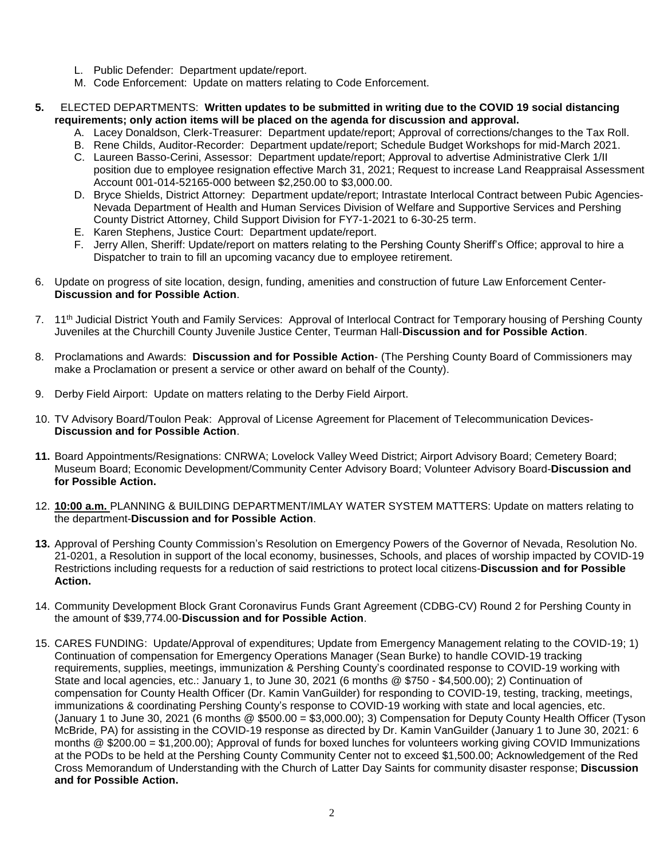- L. Public Defender: Department update/report.
- M. Code Enforcement: Update on matters relating to Code Enforcement.
- **5.** ELECTED DEPARTMENTS: **Written updates to be submitted in writing due to the COVID 19 social distancing requirements; only action items will be placed on the agenda for discussion and approval.**
	- A. Lacey Donaldson, Clerk-Treasurer: Department update/report; Approval of corrections/changes to the Tax Roll.
	- B. Rene Childs, Auditor-Recorder: Department update/report; Schedule Budget Workshops for mid-March 2021.
	- C. Laureen Basso-Cerini, Assessor: Department update/report; Approval to advertise Administrative Clerk 1/II position due to employee resignation effective March 31, 2021; Request to increase Land Reappraisal Assessment Account 001-014-52165-000 between \$2,250.00 to \$3,000.00.
	- D. Bryce Shields, District Attorney: Department update/report; Intrastate Interlocal Contract between Pubic Agencies-Nevada Department of Health and Human Services Division of Welfare and Supportive Services and Pershing County District Attorney, Child Support Division for FY7-1-2021 to 6-30-25 term.
	- E. Karen Stephens, Justice Court: Department update/report.
	- F. Jerry Allen, Sheriff: Update/report on matters relating to the Pershing County Sheriff's Office; approval to hire a Dispatcher to train to fill an upcoming vacancy due to employee retirement.
- 6. Update on progress of site location, design, funding, amenities and construction of future Law Enforcement Center-**Discussion and for Possible Action**.
- 7. 11th Judicial District Youth and Family Services: Approval of Interlocal Contract for Temporary housing of Pershing County Juveniles at the Churchill County Juvenile Justice Center, Teurman Hall-**Discussion and for Possible Action**.
- 8. Proclamations and Awards: **Discussion and for Possible Action** (The Pershing County Board of Commissioners may make a Proclamation or present a service or other award on behalf of the County).
- 9. Derby Field Airport: Update on matters relating to the Derby Field Airport.
- 10. TV Advisory Board/Toulon Peak: Approval of License Agreement for Placement of Telecommunication Devices-**Discussion and for Possible Action**.
- **11.** Board Appointments/Resignations: CNRWA; Lovelock Valley Weed District; Airport Advisory Board; Cemetery Board; Museum Board; Economic Development/Community Center Advisory Board; Volunteer Advisory Board-**Discussion and for Possible Action.**
- 12. **10:00 a.m.** PLANNING & BUILDING DEPARTMENT/IMLAY WATER SYSTEM MATTERS: Update on matters relating to the department-**Discussion and for Possible Action**.
- **13.** Approval of Pershing County Commission's Resolution on Emergency Powers of the Governor of Nevada, Resolution No. 21-0201, a Resolution in support of the local economy, businesses, Schools, and places of worship impacted by COVID-19 Restrictions including requests for a reduction of said restrictions to protect local citizens-**Discussion and for Possible Action.**
- 14. Community Development Block Grant Coronavirus Funds Grant Agreement (CDBG-CV) Round 2 for Pershing County in the amount of \$39,774.00-**Discussion and for Possible Action**.
- 15. CARES FUNDING: Update/Approval of expenditures; Update from Emergency Management relating to the COVID-19; 1) Continuation of compensation for Emergency Operations Manager (Sean Burke) to handle COVID-19 tracking requirements, supplies, meetings, immunization & Pershing County's coordinated response to COVID-19 working with State and local agencies, etc.: January 1, to June 30, 2021 (6 months @ \$750 - \$4,500.00); 2) Continuation of compensation for County Health Officer (Dr. Kamin VanGuilder) for responding to COVID-19, testing, tracking, meetings, immunizations & coordinating Pershing County's response to COVID-19 working with state and local agencies, etc. (January 1 to June 30, 2021 (6 months  $\textcircled{g}$  \$500.00 = \$3,000.00); 3) Compensation for Deputy County Health Officer (Tyson McBride, PA) for assisting in the COVID-19 response as directed by Dr. Kamin VanGuilder (January 1 to June 30, 2021: 6 months @ \$200.00 = \$1,200.00); Approval of funds for boxed lunches for volunteers working giving COVID Immunizations at the PODs to be held at the Pershing County Community Center not to exceed \$1,500.00; Acknowledgement of the Red Cross Memorandum of Understanding with the Church of Latter Day Saints for community disaster response; **Discussion and for Possible Action.**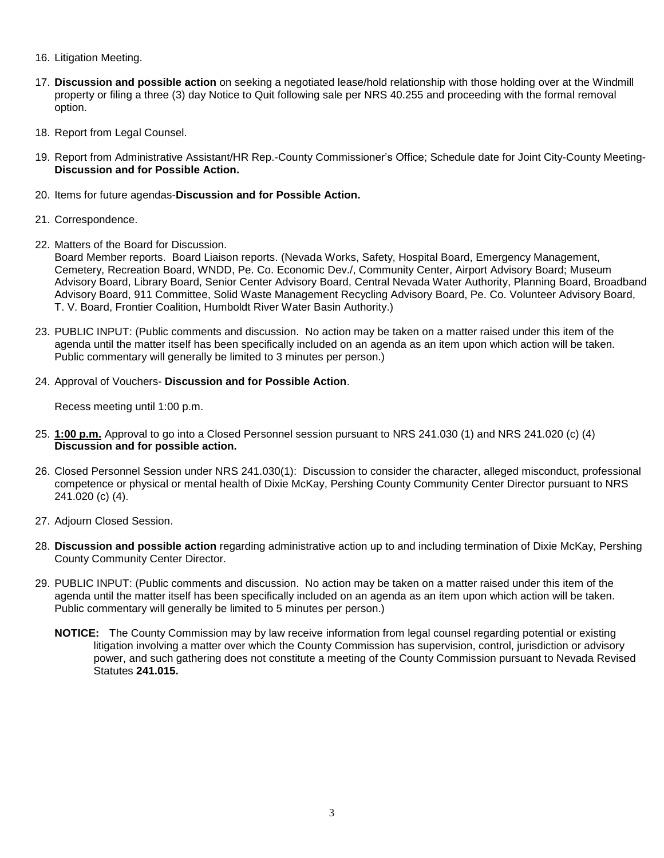- 16. Litigation Meeting.
- 17. **Discussion and possible action** on seeking a negotiated lease/hold relationship with those holding over at the Windmill property or filing a three (3) day Notice to Quit following sale per NRS 40.255 and proceeding with the formal removal option.
- 18. Report from Legal Counsel.
- 19. Report from Administrative Assistant/HR Rep.-County Commissioner's Office; Schedule date for Joint City-County Meeting-**Discussion and for Possible Action.**
- 20. Items for future agendas-**Discussion and for Possible Action.**
- 21. Correspondence.
- 22. Matters of the Board for Discussion.

Board Member reports. Board Liaison reports. (Nevada Works, Safety, Hospital Board, Emergency Management, Cemetery, Recreation Board, WNDD, Pe. Co. Economic Dev./, Community Center, Airport Advisory Board; Museum Advisory Board, Library Board, Senior Center Advisory Board, Central Nevada Water Authority, Planning Board, Broadband Advisory Board, 911 Committee, Solid Waste Management Recycling Advisory Board, Pe. Co. Volunteer Advisory Board, T. V. Board, Frontier Coalition, Humboldt River Water Basin Authority.)

- 23. PUBLIC INPUT: (Public comments and discussion. No action may be taken on a matter raised under this item of the agenda until the matter itself has been specifically included on an agenda as an item upon which action will be taken. Public commentary will generally be limited to 3 minutes per person.)
- 24. Approval of Vouchers- **Discussion and for Possible Action**.

Recess meeting until 1:00 p.m.

- 25. **1:00 p.m.** Approval to go into a Closed Personnel session pursuant to NRS 241.030 (1) and NRS 241.020 (c) (4) **Discussion and for possible action.**
- 26. Closed Personnel Session under NRS 241.030(1): Discussion to consider the character, alleged misconduct, professional competence or physical or mental health of Dixie McKay, Pershing County Community Center Director pursuant to NRS 241.020 (c) (4).
- 27. Adjourn Closed Session.
- 28. **Discussion and possible action** regarding administrative action up to and including termination of Dixie McKay, Pershing County Community Center Director.
- 29. PUBLIC INPUT: (Public comments and discussion. No action may be taken on a matter raised under this item of the agenda until the matter itself has been specifically included on an agenda as an item upon which action will be taken. Public commentary will generally be limited to 5 minutes per person.)
	- **NOTICE:** The County Commission may by law receive information from legal counsel regarding potential or existing litigation involving a matter over which the County Commission has supervision, control, jurisdiction or advisory power, and such gathering does not constitute a meeting of the County Commission pursuant to Nevada Revised Statutes **241.015.**